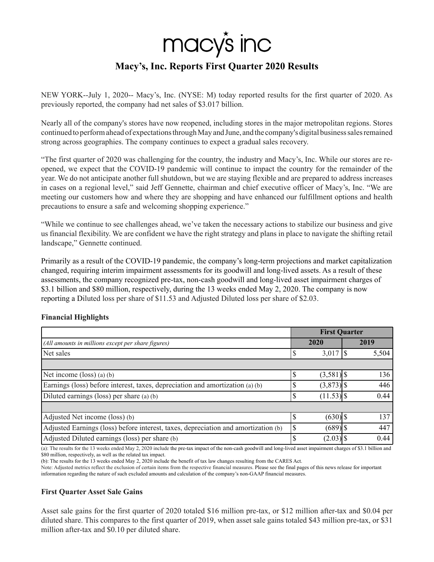macy's inc

# **Macy's, Inc. Reports First Quarter 2020 Results**

NEW YORK--July 1, 2020-- Macy's, Inc. (NYSE: M) today reported results for the first quarter of 2020. As previously reported, the company had net sales of \$3.017 billion.

Nearly all of the company's stores have now reopened, including stores in the major metropolitan regions. Stores continued to perform ahead of expectations through May and June, and the company's digital business sales remained strong across geographies. The company continues to expect a gradual sales recovery.

"The first quarter of 2020 was challenging for the country, the industry and Macy's, Inc. While our stores are reopened, we expect that the COVID-19 pandemic will continue to impact the country for the remainder of the year. We do not anticipate another full shutdown, but we are staying flexible and are prepared to address increases in cases on a regional level," said Jeff Gennette, chairman and chief executive officer of Macy's, Inc. "We are meeting our customers how and where they are shopping and have enhanced our fulfillment options and health precautions to ensure a safe and welcoming shopping experience."

"While we continue to see challenges ahead, we've taken the necessary actions to stabilize our business and give us financial flexibility. We are confident we have the right strategy and plans in place to navigate the shifting retail landscape," Gennette continued.

Primarily as a result of the COVID-19 pandemic, the company's long-term projections and market capitalization changed, requiring interim impairment assessments for its goodwill and long-lived assets. As a result of these assessments, the company recognized pre-tax, non-cash goodwill and long-lived asset impairment charges of \$3.1 billion and \$80 million, respectively, during the 13 weeks ended May 2, 2020. The company is now reporting a Diluted loss per share of \$11.53 and Adjusted Diluted loss per share of \$2.03.

## **Financial Highlights**

|                                                                                    | <b>First Quarter</b> |              |  |       |  |
|------------------------------------------------------------------------------------|----------------------|--------------|--|-------|--|
| (All amounts in millions except per share figures)                                 | 2020<br>2019         |              |  |       |  |
| Net sales                                                                          |                      | $3,017$ \$   |  | 5,504 |  |
|                                                                                    |                      |              |  |       |  |
| Net income $(\text{loss})$ (a) (b)                                                 | \$                   | $(3,581)$ \$ |  | 136   |  |
| Earnings (loss) before interest, taxes, depreciation and amortization (a) (b)      |                      | $(3,873)$ \$ |  | 446   |  |
| Diluted earnings (loss) per share (a) (b)                                          | \$                   | $(11.53)$ \$ |  | 0.44  |  |
|                                                                                    |                      |              |  |       |  |
| Adjusted Net income (loss) (b)                                                     |                      | $(630)$ \$   |  | 137   |  |
| Adjusted Earnings (loss) before interest, taxes, depreciation and amortization (b) | \$                   | $(689)$ \$   |  | 447   |  |
| Adjusted Diluted earnings (loss) per share (b)                                     |                      | $(2.03)$ \$  |  | 0.44  |  |

(a): The results for the 13 weeks ended May 2, 2020 include the pre-tax impact of the non-cash goodwill and long-lived asset impairment charges of \$3.1 billion and \$80 million, respectively, as well as the related tax impact.

Note: Adjusted metrics reflect the exclusion of certain items from the respective financial measures. Please see the final pages of this news release for important information regarding the nature of such excluded amounts and calculation of the company's non-GAAP financial measures.

## **First Quarter Asset Sale Gains**

Asset sale gains for the first quarter of 2020 totaled \$16 million pre-tax, or \$12 million after-tax and \$0.04 per diluted share. This compares to the first quarter of 2019, when asset sale gains totaled \$43 million pre-tax, or \$31 million after-tax and \$0.10 per diluted share.

<sup>(</sup>b): The results for the 13 weeks ended May 2, 2020 include the benefit of tax law changes resulting from the CARES Act.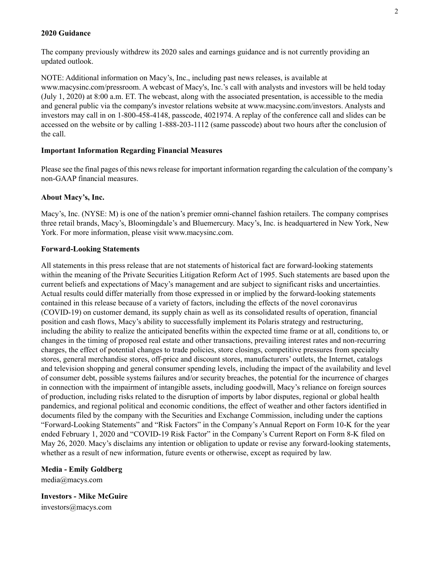## **2020 Guidance**

The company previously withdrew its 2020 sales and earnings guidance and is not currently providing an updated outlook.

NOTE: Additional information on Macy's, Inc., including past news releases, is available at www.macysinc.com/pressroom. A webcast of Macy's, Inc.'s call with analysts and investors will be held today (July 1, 2020) at 8:00 a.m. ET. The webcast, along with the associated presentation, is accessible to the media and general public via the company's investor relations website at www.macysinc.com/investors. Analysts and investors may call in on 1-800-458-4148, passcode, 4021974. A replay of the conference call and slides can be accessed on the website or by calling 1-888-203-1112 (same passcode) about two hours after the conclusion of the call.

## **Important Information Regarding Financial Measures**

Please see the final pages of this news release for important information regarding the calculation of the company's non-GAAP financial measures.

## **About Macy's, Inc.**

Macy's, Inc. (NYSE: M) is one of the nation's premier omni-channel fashion retailers. The company comprises three retail brands, Macy's, Bloomingdale's and Bluemercury. Macy's, Inc. is headquartered in New York, New York. For more information, please visit www.macysinc.com.

## **Forward-Looking Statements**

All statements in this press release that are not statements of historical fact are forward-looking statements within the meaning of the Private Securities Litigation Reform Act of 1995. Such statements are based upon the current beliefs and expectations of Macy's management and are subject to significant risks and uncertainties. Actual results could differ materially from those expressed in or implied by the forward-looking statements contained in this release because of a variety of factors, including the effects of the novel coronavirus (COVID-19) on customer demand, its supply chain as well as its consolidated results of operation, financial position and cash flows, Macy's ability to successfully implement its Polaris strategy and restructuring, including the ability to realize the anticipated benefits within the expected time frame or at all, conditions to, or changes in the timing of proposed real estate and other transactions, prevailing interest rates and non-recurring charges, the effect of potential changes to trade policies, store closings, competitive pressures from specialty stores, general merchandise stores, off-price and discount stores, manufacturers' outlets, the Internet, catalogs and television shopping and general consumer spending levels, including the impact of the availability and level of consumer debt, possible systems failures and/or security breaches, the potential for the incurrence of charges in connection with the impairment of intangible assets, including goodwill, Macy's reliance on foreign sources of production, including risks related to the disruption of imports by labor disputes, regional or global health pandemics, and regional political and economic conditions, the effect of weather and other factors identified in documents filed by the company with the Securities and Exchange Commission, including under the captions "Forward-Looking Statements" and "Risk Factors" in the Company's Annual Report on Form 10-K for the year ended February 1, 2020 and "COVID-19 Risk Factor" in the Company's Current Report on Form 8-K filed on May 26, 2020. Macy's disclaims any intention or obligation to update or revise any forward-looking statements, whether as a result of new information, future events or otherwise, except as required by law.

## **Media - Emily Goldberg**

media@macys.com

**Investors - Mike McGuire** investors@macys.com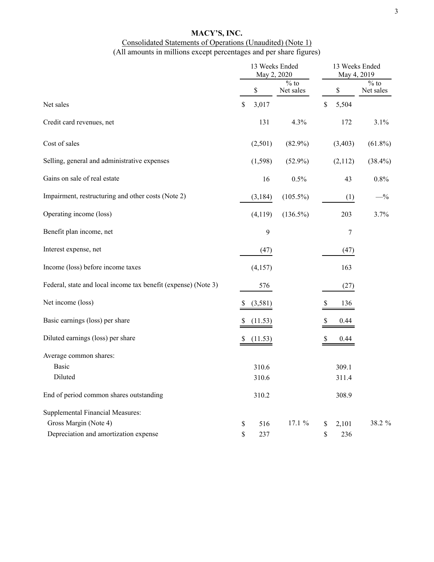## **MACY'S, INC.** Consolidated Statements of Operations (Unaudited) (Note 1) (All amounts in millions except percentages and per share figures)

|                                                                | 13 Weeks Ended<br>May 2, 2020 |                  |                     |             | 13 Weeks Ended<br>May 4, 2019 |                     |
|----------------------------------------------------------------|-------------------------------|------------------|---------------------|-------------|-------------------------------|---------------------|
|                                                                |                               | \$               | $%$ to<br>Net sales |             | \$                            | $%$ to<br>Net sales |
| Net sales                                                      | \$                            | 3,017            |                     | $\mathbb S$ | 5,504                         |                     |
| Credit card revenues, net                                      |                               | 131              | 4.3%                |             | 172                           | 3.1%                |
| Cost of sales                                                  |                               | (2,501)          | $(82.9\%)$          |             | (3, 403)                      | $(61.8\%)$          |
| Selling, general and administrative expenses                   |                               | (1, 598)         | $(52.9\%)$          |             | (2,112)                       | $(38.4\%)$          |
| Gains on sale of real estate                                   |                               | 16               | 0.5%                |             | 43                            | 0.8%                |
| Impairment, restructuring and other costs (Note 2)             |                               | (3,184)          | $(105.5\%)$         |             | (1)                           | $-$ %               |
| Operating income (loss)                                        |                               | (4, 119)         | $(136.5\%)$         |             | 203                           | 3.7%                |
| Benefit plan income, net                                       |                               | $\boldsymbol{9}$ |                     |             | $\boldsymbol{7}$              |                     |
| Interest expense, net                                          |                               | (47)             |                     |             | (47)                          |                     |
| Income (loss) before income taxes                              |                               | (4,157)          |                     |             | 163                           |                     |
| Federal, state and local income tax benefit (expense) (Note 3) |                               | 576              |                     |             | (27)                          |                     |
| Net income (loss)                                              | \$                            | (3,581)          |                     | \$          | 136                           |                     |
| Basic earnings (loss) per share                                | S                             | (11.53)          |                     | \$          | 0.44                          |                     |
| Diluted earnings (loss) per share                              |                               | (11.53)          |                     |             | 0.44                          |                     |
| Average common shares:                                         |                               |                  |                     |             |                               |                     |
| <b>Basic</b>                                                   |                               | 310.6            |                     |             | 309.1                         |                     |
| Diluted                                                        |                               | 310.6            |                     |             | 311.4                         |                     |
| End of period common shares outstanding                        |                               | 310.2            |                     |             | 308.9                         |                     |
| Supplemental Financial Measures:                               |                               |                  |                     |             |                               |                     |
| Gross Margin (Note 4)                                          | \$                            | 516              | 17.1 %              | \$          | 2,101                         | 38.2 %              |
| Depreciation and amortization expense                          | \$                            | 237              |                     | \$          | 236                           |                     |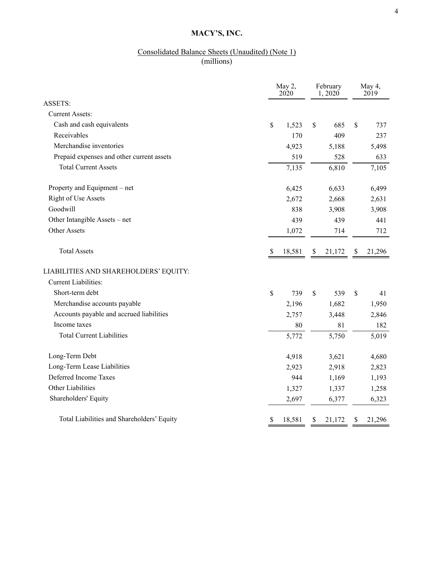## Consolidated Balance Sheets (Unaudited) (Note 1)

(millions)

|                                            | May 2,<br>2020 |        | February<br>1,2020 |        | May 4,<br>2019 |        |
|--------------------------------------------|----------------|--------|--------------------|--------|----------------|--------|
| <b>ASSETS:</b>                             |                |        |                    |        |                |        |
| <b>Current Assets:</b>                     |                |        |                    |        |                |        |
| Cash and cash equivalents                  | \$             | 1,523  | \$                 | 685    | \$             | 737    |
| Receivables                                |                | 170    |                    | 409    |                | 237    |
| Merchandise inventories                    |                | 4,923  |                    | 5,188  |                | 5,498  |
| Prepaid expenses and other current assets  |                | 519    |                    | 528    |                | 633    |
| <b>Total Current Assets</b>                |                | 7,135  |                    | 6,810  |                | 7,105  |
| Property and Equipment – net               |                | 6,425  |                    | 6,633  |                | 6,499  |
| <b>Right of Use Assets</b>                 |                | 2,672  |                    | 2,668  |                | 2,631  |
| Goodwill                                   |                | 838    |                    | 3,908  |                | 3,908  |
| Other Intangible Assets - net              |                | 439    |                    | 439    |                | 441    |
| <b>Other Assets</b>                        |                | 1,072  |                    | 714    |                | 712    |
| <b>Total Assets</b>                        | \$             | 18,581 | \$                 | 21,172 | \$             | 21,296 |
| LIABILITIES AND SHAREHOLDERS' EQUITY:      |                |        |                    |        |                |        |
| <b>Current Liabilities:</b>                |                |        |                    |        |                |        |
| Short-term debt                            | \$             | 739    | \$                 | 539    | \$             | 41     |
| Merchandise accounts payable               |                | 2,196  |                    | 1,682  |                | 1,950  |
| Accounts payable and accrued liabilities   |                | 2,757  |                    | 3,448  |                | 2,846  |
| Income taxes                               |                | 80     |                    | 81     |                | 182    |
| <b>Total Current Liabilities</b>           |                | 5,772  |                    | 5,750  |                | 5,019  |
| Long-Term Debt                             |                | 4,918  |                    | 3,621  |                | 4,680  |
| Long-Term Lease Liabilities                |                | 2,923  |                    | 2,918  |                | 2,823  |
| Deferred Income Taxes                      |                | 944    |                    | 1,169  |                | 1,193  |
| Other Liabilities                          |                | 1,327  |                    | 1,337  |                | 1,258  |
| Shareholders' Equity                       |                | 2,697  |                    | 6,377  |                | 6,323  |
| Total Liabilities and Shareholders' Equity | \$             | 18,581 | S                  | 21,172 | S              | 21,296 |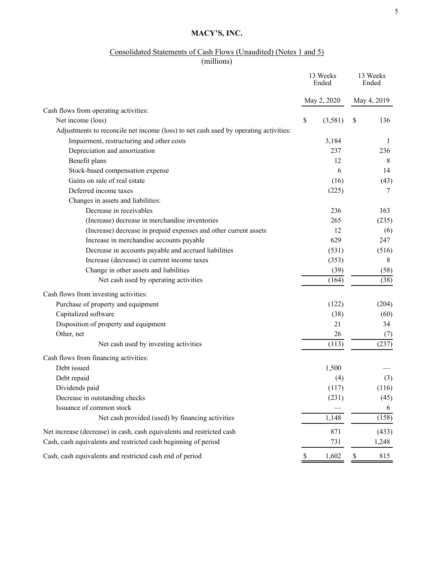#### Consolidated Statements of Cash Flows (Unaudited) (Notes 1 and 5)

(millions)

|                                                                                      |             | 13 Weeks<br>Ended | 13 Weeks<br>Ended         |       |  |
|--------------------------------------------------------------------------------------|-------------|-------------------|---------------------------|-------|--|
|                                                                                      | May 2, 2020 |                   | May 4, 2019               |       |  |
| Cash flows from operating activities:                                                |             |                   |                           |       |  |
| Net income (loss)                                                                    | \$          | (3,581)           | $\boldsymbol{\mathsf{S}}$ | 136   |  |
| Adjustments to reconcile net income (loss) to net cash used by operating activities: |             |                   |                           |       |  |
| Impairment, restructuring and other costs                                            |             | 3,184             |                           | 1     |  |
| Depreciation and amortization                                                        |             | 237               |                           | 236   |  |
| Benefit plans                                                                        |             | 12                |                           | 8     |  |
| Stock-based compensation expense                                                     |             | 6                 |                           | 14    |  |
| Gains on sale of real estate                                                         |             | (16)              |                           | (43)  |  |
| Deferred income taxes                                                                |             | (225)             |                           | 7     |  |
| Changes in assets and liabilities:                                                   |             |                   |                           |       |  |
| Decrease in receivables                                                              |             | 236               |                           | 163   |  |
| (Increase) decrease in merchandise inventories                                       |             | 265               |                           | (235) |  |
| (Increase) decrease in prepaid expenses and other current assets                     |             | 12                |                           | (6)   |  |
| Increase in merchandise accounts payable                                             |             | 629               |                           | 247   |  |
| Decrease in accounts payable and accrued liabilities                                 |             | (531)             |                           | (516) |  |
| Increase (decrease) in current income taxes                                          |             | (353)             |                           | 8     |  |
| Change in other assets and liabilities                                               |             | (39)              |                           | (58)  |  |
| Net cash used by operating activities                                                |             | (164)             |                           | (38)  |  |
| Cash flows from investing activities:                                                |             |                   |                           |       |  |
| Purchase of property and equipment                                                   |             | (122)             |                           | (204) |  |
| Capitalized software                                                                 |             | (38)              |                           | (60)  |  |
| Disposition of property and equipment                                                |             | 21                |                           | 34    |  |
| Other, net                                                                           |             | 26                |                           | (7)   |  |
| Net cash used by investing activities                                                |             | (113)             |                           | (237) |  |
| Cash flows from financing activities:                                                |             |                   |                           |       |  |
| Debt issued                                                                          |             | 1,500             |                           |       |  |
| Debt repaid                                                                          |             | (4)               |                           | (3)   |  |
| Dividends paid                                                                       |             | (117)             |                           | (116) |  |
| Decrease in outstanding checks                                                       |             | (231)             |                           | (45)  |  |
| Issuance of common stock                                                             |             |                   |                           | 6     |  |
| Net cash provided (used) by financing activities                                     |             | 1,148             |                           | (158) |  |
| Net increase (decrease) in cash, cash equivalents and restricted cash                |             | 871               |                           | (433) |  |
| Cash, cash equivalents and restricted cash beginning of period                       |             | 731               |                           | 1,248 |  |
| Cash, cash equivalents and restricted cash end of period                             | \$          | 1,602             | $\mathbb S$               | 815   |  |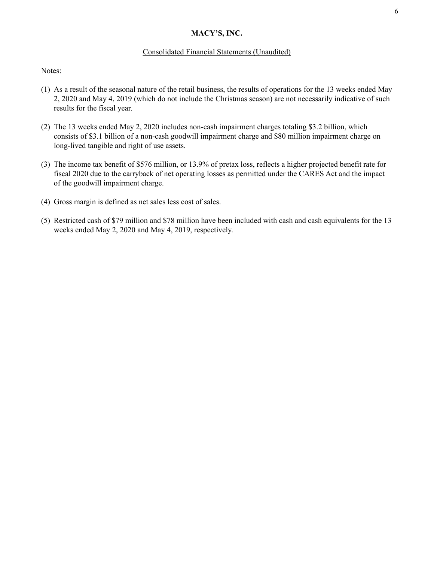#### Consolidated Financial Statements (Unaudited)

Notes:

- (1) As a result of the seasonal nature of the retail business, the results of operations for the 13 weeks ended May 2, 2020 and May 4, 2019 (which do not include the Christmas season) are not necessarily indicative of such results for the fiscal year.
- (2) The 13 weeks ended May 2, 2020 includes non-cash impairment charges totaling \$3.2 billion, which consists of \$3.1 billion of a non-cash goodwill impairment charge and \$80 million impairment charge on long-lived tangible and right of use assets.
- (3) The income tax benefit of \$576 million, or 13.9% of pretax loss, reflects a higher projected benefit rate for fiscal 2020 due to the carryback of net operating losses as permitted under the CARES Act and the impact of the goodwill impairment charge.
- (4) Gross margin is defined as net sales less cost of sales.
- (5) Restricted cash of \$79 million and \$78 million have been included with cash and cash equivalents for the 13 weeks ended May 2, 2020 and May 4, 2019, respectively.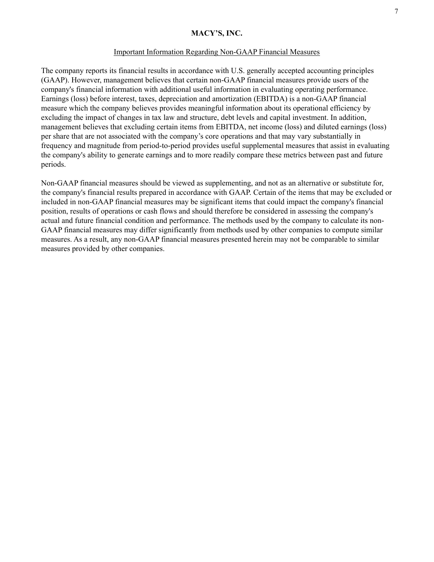#### Important Information Regarding Non-GAAP Financial Measures

The company reports its financial results in accordance with U.S. generally accepted accounting principles (GAAP). However, management believes that certain non-GAAP financial measures provide users of the company's financial information with additional useful information in evaluating operating performance. Earnings (loss) before interest, taxes, depreciation and amortization (EBITDA) is a non-GAAP financial measure which the company believes provides meaningful information about its operational efficiency by excluding the impact of changes in tax law and structure, debt levels and capital investment. In addition, management believes that excluding certain items from EBITDA, net income (loss) and diluted earnings (loss) per share that are not associated with the company's core operations and that may vary substantially in frequency and magnitude from period-to-period provides useful supplemental measures that assist in evaluating the company's ability to generate earnings and to more readily compare these metrics between past and future periods.

Non-GAAP financial measures should be viewed as supplementing, and not as an alternative or substitute for, the company's financial results prepared in accordance with GAAP. Certain of the items that may be excluded or included in non-GAAP financial measures may be significant items that could impact the company's financial position, results of operations or cash flows and should therefore be considered in assessing the company's actual and future financial condition and performance. The methods used by the company to calculate its non-GAAP financial measures may differ significantly from methods used by other companies to compute similar measures. As a result, any non-GAAP financial measures presented herein may not be comparable to similar measures provided by other companies.